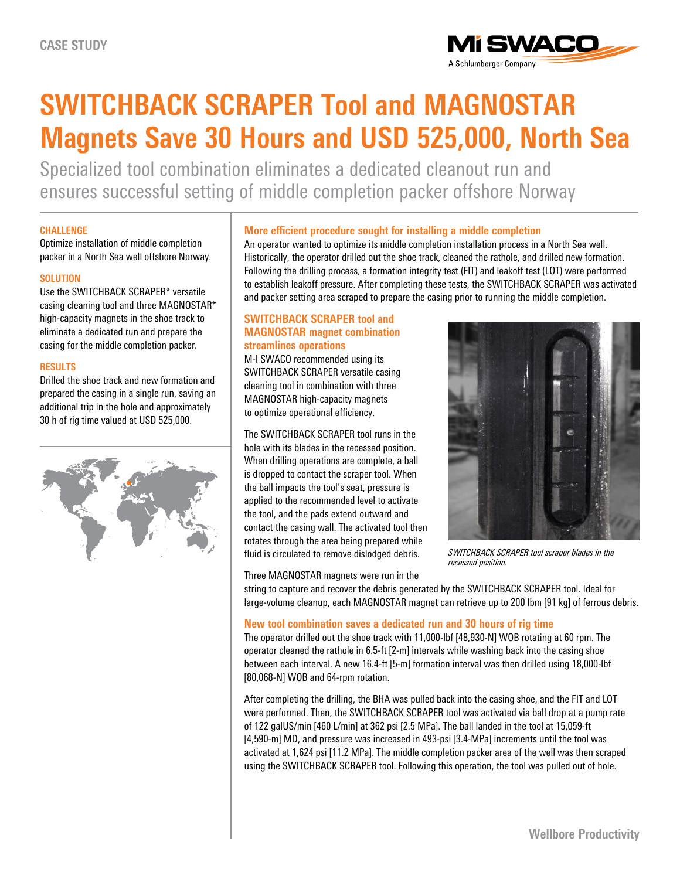

# **SWITCHBACK SCRAPER Tool and MAGNOSTAR Magnets Save 30 Hours and USD 525,000, North Sea**

Specialized tool combination eliminates a dedicated cleanout run and ensures successful setting of middle completion packer offshore Norway

#### **CHALLENGE**

Optimize installation of middle completion packer in a North Sea well offshore Norway.

## **SOLUTION**

Use the SWITCHBACK SCRAPER\* versatile casing cleaning tool and three MAGNOSTAR\* high-capacity magnets in the shoe track to eliminate a dedicated run and prepare the casing for the middle completion packer.

## **RESULTS**

Drilled the shoe track and new formation and prepared the casing in a single run, saving an additional trip in the hole and approximately 30 h of rig time valued at USD 525,000.



## **More efficient procedure sought for installing a middle completion**

An operator wanted to optimize its middle completion installation process in a North Sea well. Historically, the operator drilled out the shoe track, cleaned the rathole, and drilled new formation. Following the drilling process, a formation integrity test (FIT) and leakoff test (LOT) were performed to establish leakoff pressure. After completing these tests, the SWITCHBACK SCRAPER was activated and packer setting area scraped to prepare the casing prior to running the middle completion.

## **SWITCHBACK SCRAPER tool and MAGNOSTAR magnet combination streamlines operations**

M-I SWACO recommended using its SWITCHBACK SCRAPER versatile casing cleaning tool in combination with three MAGNOSTAR high-capacity magnets to optimize operational efficiency.

The SWITCHBACK SCRAPER tool runs in the hole with its blades in the recessed position. When drilling operations are complete, a ball is dropped to contact the scraper tool. When the ball impacts the tool's seat, pressure is applied to the recommended level to activate the tool, and the pads extend outward and contact the casing wall. The activated tool then rotates through the area being prepared while fluid is circulated to remove dislodged debris.

Three MAGNOSTAR magnets were run in the



*SWITCHBACK SCRAPER tool scraper blades in the recessed position.*

string to capture and recover the debris generated by the SWITCHBACK SCRAPER tool. Ideal for large-volume cleanup, each MAGNOSTAR magnet can retrieve up to 200 lbm [91 kg] of ferrous debris.

## **New tool combination saves a dedicated run and 30 hours of rig time**

The operator drilled out the shoe track with 11,000-lbf [48,930-N] WOB rotating at 60 rpm. The operator cleaned the rathole in 6.5-ft [2-m] intervals while washing back into the casing shoe between each interval. A new 16.4-ft [5-m] formation interval was then drilled using 18,000-lbf [80,068-N] WOB and 64-rpm rotation.

After completing the drilling, the BHA was pulled back into the casing shoe, and the FIT and LOT were performed. Then, the SWITCHBACK SCRAPER tool was activated via ball drop at a pump rate of 122 galUS/min [460 L/min] at 362 psi [2.5 MPa]. The ball landed in the tool at 15,059-ft [4,590-m] MD, and pressure was increased in 493-psi [3.4-MPa] increments until the tool was activated at 1,624 psi [11.2 MPa]. The middle completion packer area of the well was then scraped using the SWITCHBACK SCRAPER tool. Following this operation, the tool was pulled out of hole.